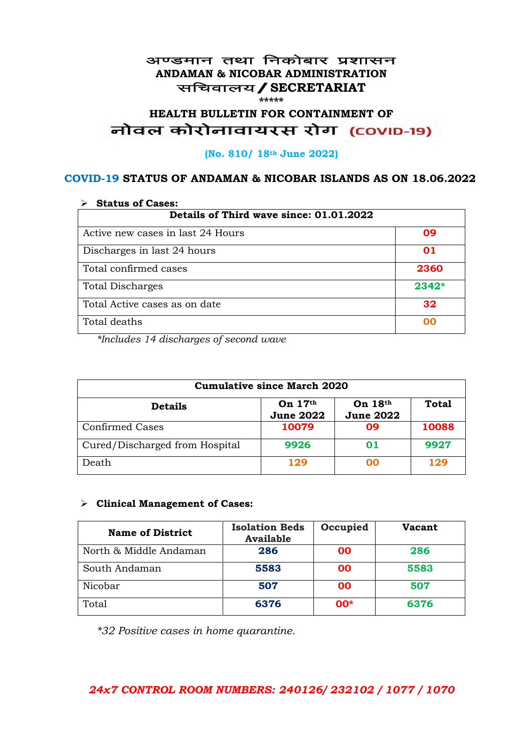#### अण्डमान तथा निकोबार प्रशासन **ANDAMAN & NICOBAR ADMINISTRATION** सचिवालय / SECRETARIAT **\*\*\*\*\***

# HEALTH BULLETIN FOR CONTAINMENT OF<br>बोवल कोरोनावायरस रोग (COVID-19)

#### **(No. 810/ 18th June 2022)**

#### **COVID-19 STATUS OF ANDAMAN & NICOBAR ISLANDS AS ON 18.06.2022**

| <b>Status of Cases:</b>                 |         |  |
|-----------------------------------------|---------|--|
| Details of Third wave since: 01.01.2022 |         |  |
| Active new cases in last 24 Hours       | 09      |  |
| Discharges in last 24 hours             | 01      |  |
| Total confirmed cases                   | 2360    |  |
| <b>Total Discharges</b>                 | $2342*$ |  |
| Total Active cases as on date           | 32      |  |
| Total deaths                            | იი      |  |

*\*Includes 14 discharges of second wave*

| <b>Cumulative since March 2020</b> |                               |                             |              |
|------------------------------------|-------------------------------|-----------------------------|--------------|
| <b>Details</b>                     | On $17th$<br><b>June 2022</b> | On 18th<br><b>June 2022</b> | <b>Total</b> |
| <b>Confirmed Cases</b>             | 10079                         | 09                          | 10088        |
| Cured/Discharged from Hospital     | 9926                          | 01                          | 9927         |
| Death                              | 129                           | ററ                          | 129          |

#### ➢ **Clinical Management of Cases:**

| <b>Name of District</b> | <b>Isolation Beds</b><br><b>Available</b> | Occupied  | Vacant |
|-------------------------|-------------------------------------------|-----------|--------|
| North & Middle Andaman  | 286                                       | <b>OO</b> | 286    |
| South Andaman           | 5583                                      | <b>OO</b> | 5583   |
| Nicobar                 | 507                                       | 00        | 507    |
| Total                   | 6376                                      | $00*$     | 6376   |

*\*32 Positive cases in home quarantine.*

## *24x7 CONTROL ROOM NUMBERS: 240126/ 232102 / 1077 / 1070*